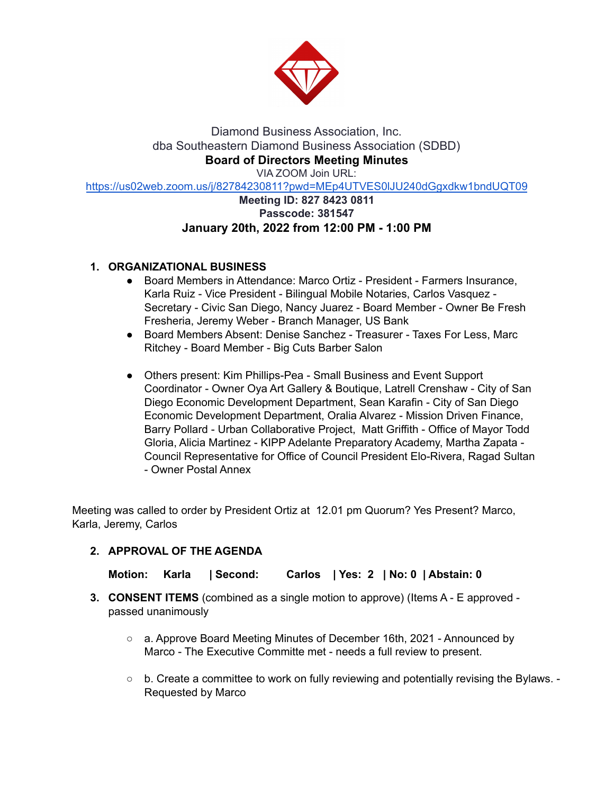

Diamond Business Association, Inc. dba Southeastern Diamond Business Association (SDBD) **Board of Directors Meeting Minutes** VIA ZOOM Join URL:

https://us02web.zoom.us/j/82784230811?pwd=MEp4UTVES0lJU240dGgxdkw1bndUQT09

## **Meeting ID: 827 8423 0811 Passcode: 381547 January 20th, 2022 from 12:00 PM - 1:00 PM**

# **1. ORGANIZATIONAL BUSINESS**

- Board Members in Attendance: Marco Ortiz President Farmers Insurance, Karla Ruiz - Vice President - Bilingual Mobile Notaries, Carlos Vasquez - Secretary - Civic San Diego, Nancy Juarez - Board Member - Owner Be Fresh Fresheria, Jeremy Weber - Branch Manager, US Bank
- Board Members Absent: Denise Sanchez Treasurer Taxes For Less, Marc Ritchey - Board Member - Big Cuts Barber Salon
- Others present: Kim Phillips-Pea Small Business and Event Support Coordinator - Owner Oya Art Gallery & Boutique, Latrell Crenshaw - City of San Diego Economic Development Department, Sean Karafin - City of San Diego Economic Development Department, Oralia Alvarez - Mission Driven Finance, Barry Pollard - Urban Collaborative Project, Matt Griffith - Office of Mayor Todd Gloria, Alicia Martinez - KIPP Adelante Preparatory Academy, Martha Zapata - Council Representative for Office of Council President Elo-Rivera, Ragad Sultan - Owner Postal Annex

Meeting was called to order by President Ortiz at 12.01 pm Quorum? Yes Present? Marco, Karla, Jeremy, Carlos

## **2. APPROVAL OF THE AGENDA**

**Motion: Karla | Second: Carlos | Yes: 2 | No: 0 | Abstain: 0**

- **3. CONSENT ITEMS** (combined as a single motion to approve) (Items A E approved passed unanimously
	- a. Approve Board Meeting Minutes of December 16th, 2021 Announced by Marco - The Executive Committe met - needs a full review to present.
	- $\circ$  b. Create a committee to work on fully reviewing and potentially revising the Bylaws. -Requested by Marco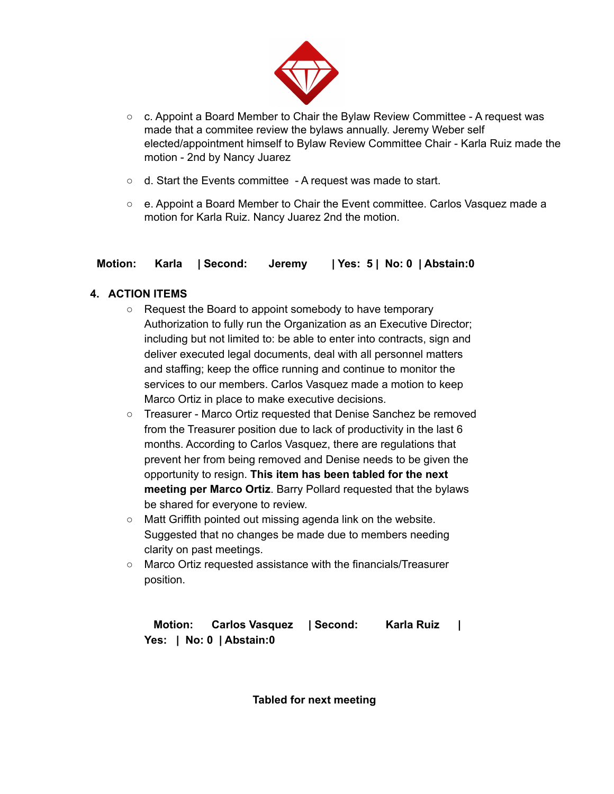

- $\circ$  c. Appoint a Board Member to Chair the Bylaw Review Committee A request was made that a commitee review the bylaws annually. Jeremy Weber self elected/appointment himself to Bylaw Review Committee Chair - Karla Ruiz made the motion - 2nd by Nancy Juarez
- $\circ$  d. Start the Events committee A request was made to start.
- e. Appoint a Board Member to Chair the Event committee. Carlos Vasquez made a motion for Karla Ruiz. Nancy Juarez 2nd the motion.

## **Motion: Karla | Second: Jeremy | Yes: 5 | No: 0 | Abstain:0**

# **4. ACTION ITEMS**

- **○** Request the Board to appoint somebody to have temporary Authorization to fully run the Organization as an Executive Director; including but not limited to: be able to enter into contracts, sign and deliver executed legal documents, deal with all personnel matters and staffing; keep the office running and continue to monitor the services to our members. Carlos Vasquez made a motion to keep Marco Ortiz in place to make executive decisions.
- **○** Treasurer Marco Ortiz requested that Denise Sanchez be removed from the Treasurer position due to lack of productivity in the last 6 months. According to Carlos Vasquez, there are regulations that prevent her from being removed and Denise needs to be given the opportunity to resign. **This item has been tabled for the next meeting per Marco Ortiz**. Barry Pollard requested that the bylaws be shared for everyone to review.
- Matt Griffith pointed out missing agenda link on the website. Suggested that no changes be made due to members needing clarity on past meetings.
- Marco Ortiz requested assistance with the financials/Treasurer position.

**Motion: Carlos Vasquez | Second: Karla Ruiz | Yes: | No: 0 | Abstain:0**

**Tabled for next meeting**